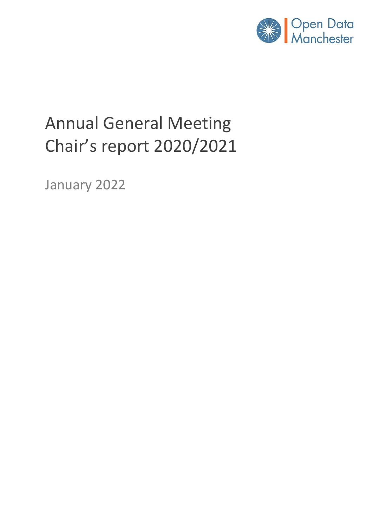

# Annual General Meeting Chair's report 2020/2021

January 2022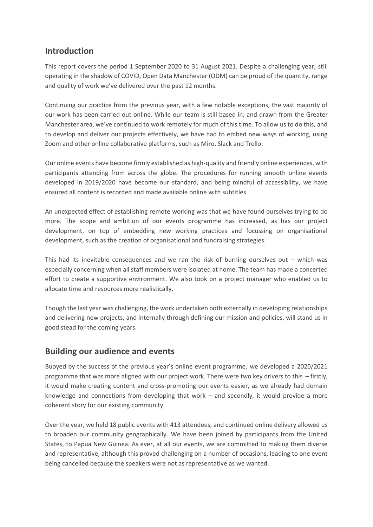# **Introduction**

This report covers the period 1 September 2020 to 31 August 2021. Despite a challenging year, still operating in the shadow of COVID, Open Data Manchester (ODM) can be proud of the quantity, range and quality of work we've delivered over the past 12 months.

Continuing our practice from the previous year, with a few notable exceptions, the vast majority of our work has been carried out online. While our team is still based in, and drawn from the Greater Manchester area, we've continued to work remotely for much of this time. To allow us to do this, and to develop and deliver our projects effectively, we have had to embed new ways of working, using Zoom and other online collaborative platforms, such as Miro, Slack and Trello.

Our online events have become firmly established as high-quality and friendly online experiences, with participants attending from across the globe. The procedures for running smooth online events developed in 2019/2020 have become our standard, and being mindful of accessibility, we have ensured all content is recorded and made available online with subtitles.

An unexpected effect of establishing remote working was that we have found ourselves trying to do more. The scope and ambition of our events programme has increased, as has our project development, on top of embedding new working practices and focussing on organisational development, such as the creation of organisational and fundraising strategies.

This had its inevitable consequences and we ran the risk of burning ourselves out  $-$  which was especially concerning when all staff members were isolated at home. The team has made a concerted effort to create a supportive environment. We also took on a project manager who enabled us to allocate time and resources more realistically.

Though the last year was challenging, the work undertaken both externally in developing relationships and delivering new projects, and internally through defining our mission and policies, will stand us in good stead for the coming years.

# **Building our audience and events**

Buoyed by the success of the previous year's online event programme, we developed a 2020/2021 programme that was more aligned with our project work. There were two key drivers to this – firstly, it would make creating content and cross-promoting our events easier, as we already had domain knowledge and connections from developing that work  $-$  and secondly, it would provide a more coherent story for our existing community.

Over the year, we held 18 public events with 413 attendees, and continued online delivery allowed us to broaden our community geographically. We have been joined by participants from the United States, to Papua New Guinea. As ever, at all our events, we are committed to making them diverse and representative, although this proved challenging on a number of occasions, leading to one event being cancelled because the speakers were not as representative as we wanted.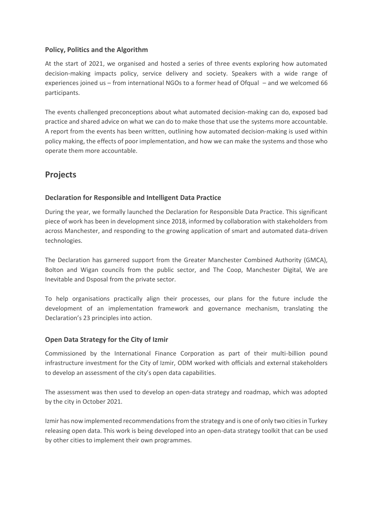#### **Policy, Politics and the Algorithm**

At the start of 2021, we organised and hosted a series of three events exploring how automated decision-making impacts policy, service delivery and society. Speakers with a wide range of experiences joined us – from international NGOs to a former head of Ofqual – and we welcomed 66 participants.

The events challenged preconceptions about what automated decision-making can do, exposed bad practice and shared advice on what we can do to make those that use the systems more accountable. A report from the events has been written, outlining how automated decision-making is used within policy making, the effects of poor implementation, and how we can make the systems and those who operate them more accountable.

# **Projects**

#### **Declaration for Responsible and Intelligent Data Practice**

During the year, we formally launched the Declaration for Responsible Data Practice. This significant piece of work has been in development since 2018, informed by collaboration with stakeholders from across Manchester, and responding to the growing application of smart and automated data-driven technologies.

The Declaration has garnered support from the Greater Manchester Combined Authority (GMCA), Bolton and Wigan councils from the public sector, and The Coop, Manchester Digital, We are Inevitable and Dsposal from the private sector.

To help organisations practically align their processes, our plans for the future include the development of an implementation framework and governance mechanism, translating the Declaration's 23 principles into action.

#### **Open Data Strategy for the City of Izmir**

Commissioned by the International Finance Corporation as part of their multi-billion pound infrastructure investment for the City of Izmir, ODM worked with officials and external stakeholders to develop an assessment of the city's open data capabilities.

The assessment was then used to develop an open-data strategy and roadmap, which was adopted by the city in October 2021.

Izmir has now implemented recommendations from the strategy and is one of only two cities in Turkey releasing open data. This work is being developed into an open-data strategy toolkit that can be used by other cities to implement their own programmes.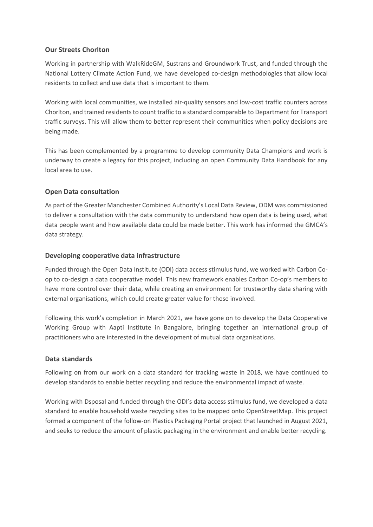#### **Our Streets Chorlton**

Working in partnership with WalkRideGM, Sustrans and Groundwork Trust, and funded through the National Lottery Climate Action Fund, we have developed co-design methodologies that allow local residents to collect and use data that is important to them.

Working with local communities, we installed air-quality sensors and low-cost traffic counters across Chorlton, and trained residents to count traffic to a standard comparable to Department for Transport traffic surveys. This will allow them to better represent their communities when policy decisions are being made.

This has been complemented by a programme to develop community Data Champions and work is underway to create a legacy for this project, including an open Community Data Handbook for any local area to use.

#### **Open Data consultation**

As part of the Greater Manchester Combined Authority's Local Data Review, ODM was commissioned to deliver a consultation with the data community to understand how open data is being used, what data people want and how available data could be made better. This work has informed the GMCA's data strategy.

#### **Developing cooperative data infrastructure**

Funded through the Open Data Institute (ODI) data access stimulus fund, we worked with Carbon Coop to co-design a data cooperative model. This new framework enables Carbon Co-op's members to have more control over their data, while creating an environment for trustworthy data sharing with external organisations, which could create greater value for those involved.

Following this work's completion in March 2021, we have gone on to develop the Data Cooperative Working Group with Aapti Institute in Bangalore, bringing together an international group of practitioners who are interested in the development of mutual data organisations.

#### **Data standards**

Following on from our work on a data standard for tracking waste in 2018, we have continued to develop standards to enable better recycling and reduce the environmental impact of waste.

Working with Dsposal and funded through the ODI's data access stimulus fund, we developed a data standard to enable household waste recycling sites to be mapped onto OpenStreetMap. This project formed a component of the follow-on Plastics Packaging Portal project that launched in August 2021, and seeks to reduce the amount of plastic packaging in the environment and enable better recycling.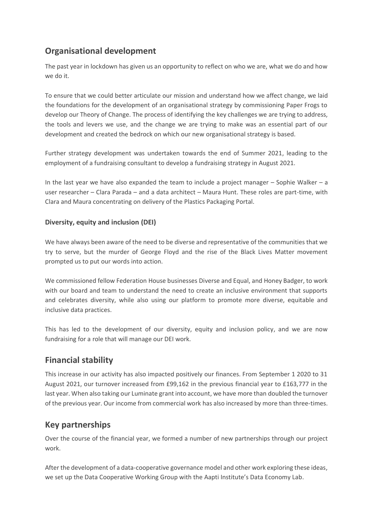# **Organisational development**

The past year in lockdown has given us an opportunity to reflect on who we are, what we do and how we do it.

To ensure that we could better articulate our mission and understand how we affect change, we laid the foundations for the development of an organisational strategy by commissioning Paper Frogs to develop our Theory of Change. The process of identifying the key challenges we are trying to address, the tools and levers we use, and the change we are trying to make was an essential part of our development and created the bedrock on which our new organisational strategy is based.

Further strategy development was undertaken towards the end of Summer 2021, leading to the employment of a fundraising consultant to develop a fundraising strategy in August 2021.

In the last year we have also expanded the team to include a project manager – Sophie Walker – a user researcher – Clara Parada – and a data architect – Maura Hunt. These roles are part-time, with Clara and Maura concentrating on delivery of the Plastics Packaging Portal.

#### **Diversity, equity and inclusion (DEI)**

We have always been aware of the need to be diverse and representative of the communities that we try to serve, but the murder of George Floyd and the rise of the Black Lives Matter movement prompted us to put our words into action.

We commissioned fellow Federation House businesses Diverse and Equal, and Honey Badger, to work with our board and team to understand the need to create an inclusive environment that supports and celebrates diversity, while also using our platform to promote more diverse, equitable and inclusive data practices.

This has led to the development of our diversity, equity and inclusion policy, and we are now fundraising for a role that will manage our DEI work.

# **Financial stability**

This increase in our activity has also impacted positively our finances. From September 1 2020 to 31 August 2021, our turnover increased from £99,162 in the previous financial year to £163,777 in the last year. When also taking our Luminate grant into account, we have more than doubled the turnover of the previous year. Our income from commercial work has also increased by more than three-times.

# **Key partnerships**

Over the course of the financial year, we formed a number of new partnerships through our project work.

After the development of a data-cooperative governance model and other work exploring these ideas, we set up the Data Cooperative Working Group with the Aapti Institute's Data Economy Lab.